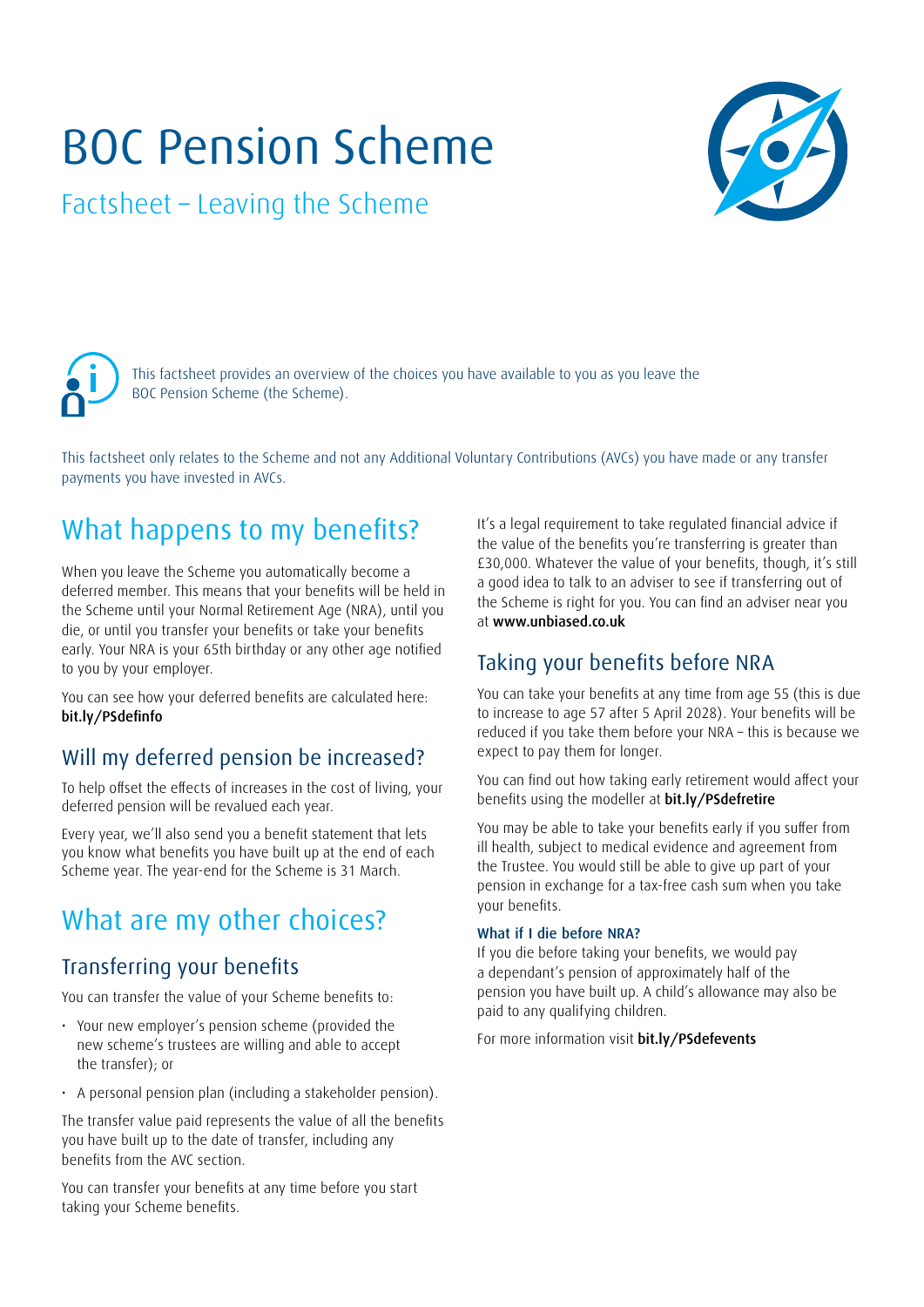# BOC Pension Scheme

Factsheet – Leaving the Scheme



This factsheet provides an overview of the choices you have available to you as you leave the BOC Pension Scheme (the Scheme).

This factsheet only relates to the Scheme and not any Additional Voluntary Contributions (AVCs) you have made or any transfer payments you have invested in AVCs.

# What happens to my benefits?

When you leave the Scheme you automatically become a deferred member. This means that your benefits will be held in the Scheme until your Normal Retirement Age (NRA), until you die, or until you transfer your benefits or take your benefits early. Your NRA is your 65th birthday or any other age notified to you by your employer.

You can see how your deferred benefits are calculated here: [bit.ly/PSdefinfo](http://bit.ly/PSdefinfo)

### Will my deferred pension be increased?

To help offset the effects of increases in the cost of living, your deferred pension will be revalued each year.

Every year, we'll also send you a benefit statement that lets you know what benefits you have built up at the end of each Scheme year. The year-end for the Scheme is 31 March.

### What are my other choices?

### Transferring your benefits

You can transfer the value of your Scheme benefits to:

- Your new employer's pension scheme (provided the new scheme's trustees are willing and able to accept the transfer); or
- A personal pension plan (including a stakeholder pension).

The transfer value paid represents the value of all the benefits you have built up to the date of transfer, including any benefits from the AVC section.

You can transfer your benefits at any time before you start taking your Scheme benefits.

It's a legal requirement to take regulated financial advice if the value of the benefits you're transferring is greater than £30,000. Whatever the value of your benefits, though, it's still a good idea to talk to an adviser to see if transferring out of the Scheme is right for you. You can find an adviser near you at [www.unbiased.co.uk](http://www.unbiased.co.uk)

### Taking your benefits before NRA

You can take your benefits at any time from age 55 (this is due to increase to age 57 after 5 April 2028). Your benefits will be reduced if you take them before your NRA – this is because we expect to pay them for longer.

You can find out how taking early retirement would affect your benefits using the modeller at [bit.ly/PSdefretire](http://bit.ly/PSdefretire)

You may be able to take your benefits early if you suffer from ill health, subject to medical evidence and agreement from the Trustee. You would still be able to give up part of your pension in exchange for a tax-free cash sum when you take your benefits.

#### What if I die before NRA?

If you die before taking your benefits, we would pay a dependant's pension of approximately half of the pension you have built up. A child's allowance may also be paid to any qualifying children.

For more information visit [bit.ly/PSdefevents](http://bit.ly/PSdefevents)